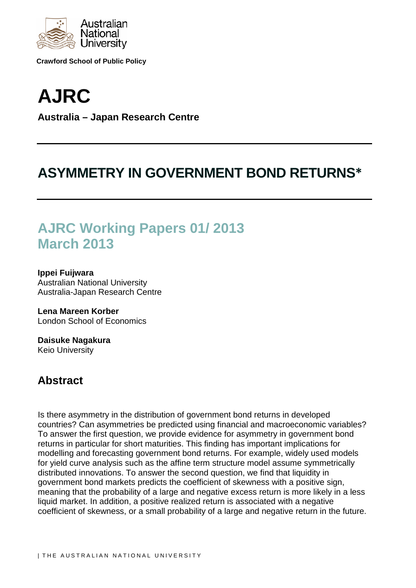

**Crawford School of Public Policy**

# **AJRC Australia – Japan Research Centre**

## **ASYMMETRY IN GOVERNMENT BOND RETURNS\***

## **AJRC Working Papers 01/ 2013 March 2013**

**Ippei Fuijwara** Australian National University Australia-Japan Research Centre

**Lena Mareen Korber** London School of Economics

**Daisuke Nagakura** Keio University

## **Abstract**

Is there asymmetry in the distribution of government bond returns in developed countries? Can asymmetries be predicted using financial and macroeconomic variables? To answer the first question, we provide evidence for asymmetry in government bond returns in particular for short maturities. This finding has important implications for modelling and forecasting government bond returns. For example, widely used models for yield curve analysis such as the affine term structure model assume symmetrically distributed innovations. To answer the second question, we find that liquidity in government bond markets predicts the coefficient of skewness with a positive sign, meaning that the probability of a large and negative excess return is more likely in a less liquid market. In addition, a positive realized return is associated with a negative coefficient of skewness, or a small probability of a large and negative return in the future.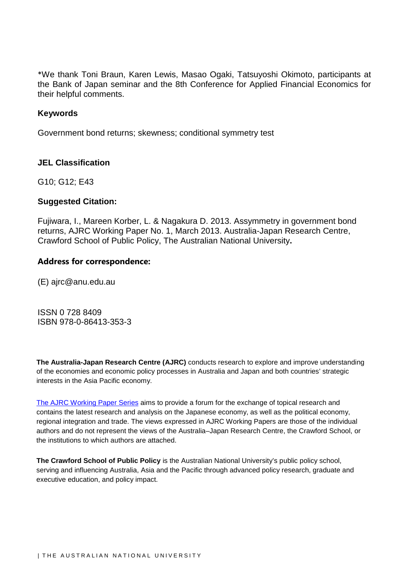\*We thank Toni Braun, Karen Lewis, Masao Ogaki, Tatsuyoshi Okimoto, participants at the Bank of Japan seminar and the 8th Conference for Applied Financial Economics for their helpful comments.

#### **Keywords**

Government bond returns; skewness; conditional symmetry test

#### **JEL Classification**

G10; G12; E43

#### **Suggested Citation:**

Fujiwara, I., Mareen Korber, L. & Nagakura D. 2013. Assymmetry in government bond returns, AJRC Working Paper No. 1, March 2013. Australia-Japan Research Centre, Crawford School of Public Policy, The Australian National University**.**

#### **Address for correspondence:**

(E) ajrc@anu.edu.au

ISSN 0 728 8409 ISBN 978-0-86413-353-3

**The Australia-Japan Research Centre (AJRC)** conducts research to explore and improve understanding of the economies and economic policy processes in Australia and Japan and both countries' strategic interests in the Asia Pacific economy.

[The AJRC Working Paper Series](http://crawford.anu.edu.au/research_units/ajrc/ajrc_pub.php?tb=2#tb2) aims to provide a forum for the exchange of topical research and contains the latest research and analysis on the Japanese economy, as well as the political economy, regional integration and trade. The views expressed in AJRC Working Papers are those of the individual authors and do not represent the views of the Australia–Japan Research Centre, the Crawford School, or the institutions to which authors are attached.

**The Crawford School of Public Policy** is the Australian National University's public policy school, serving and influencing Australia, Asia and the Pacific through advanced policy research, graduate and executive education, and policy impact.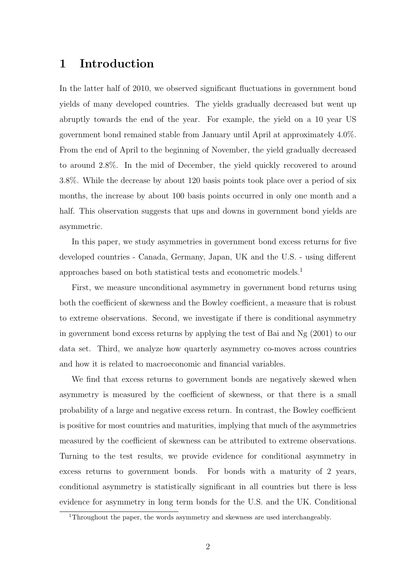### 1 Introduction

In the latter half of 2010, we observed significant fluctuations in government bond yields of many developed countries. The yields gradually decreased but went up abruptly towards the end of the year. For example, the yield on a 10 year US government bond remained stable from January until April at approximately 4.0%. From the end of April to the beginning of November, the yield gradually decreased to around 2.8%. In the mid of December, the yield quickly recovered to around 3.8%. While the decrease by about 120 basis points took place over a period of six months, the increase by about 100 basis points occurred in only one month and a half. This observation suggests that ups and downs in government bond vields are asymmetric.

In this paper, we study asymmetries in government bond excess returns for five developed countries - Canada, Germany, Japan, UK and the U.S. - using different approaches based on both statistical tests and econometric models.<sup>1</sup>

First, we measure unconditional asymmetry in government bond returns using both the coefficient of skewness and the Bowley coefficient, a measure that is robust to extreme observations. Second, we investigate if there is conditional asymmetry in government bond excess returns by applying the test of Bai and Ng (2001) to our data set. Third, we analyze how quarterly asymmetry co-moves across countries and how it is related to macroeconomic and financial variables.

We find that excess returns to government bonds are negatively skewed when asymmetry is measured by the coefficient of skewness, or that there is a small probability of a large and negative excess return. In contrast, the Bowley coefficient is positive for most countries and maturities, implying that much of the asymmetries measured by the coefficient of skewness can be attributed to extreme observations. Turning to the test results, we provide evidence for conditional asymmetry in excess returns to government bonds. For bonds with a maturity of 2 years, conditional asymmetry is statistically significant in all countries but there is less evidence for asymmetry in long term bonds for the U.S. and the UK. Conditional

<sup>&</sup>lt;sup>1</sup>Throughout the paper, the words asymmetry and skewness are used interchangeably.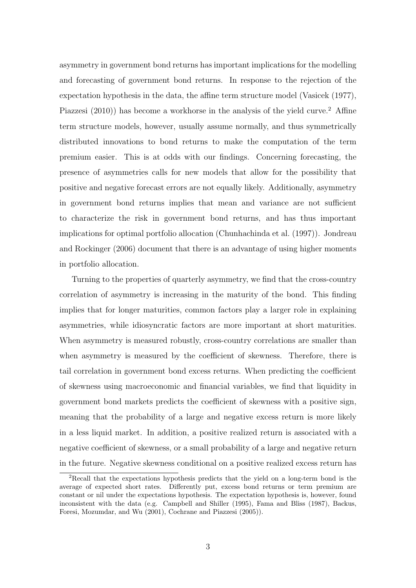asymmetry in government bond returns has important implications for the modelling and forecasting of government bond returns. In response to the rejection of the expectation hypothesis in the data, the affine term structure model (Vasicek (1977), Piazzesi  $(2010)$  has become a workhorse in the analysis of the yield curve.<sup>2</sup> Affine term structure models, however, usually assume normally, and thus symmetrically distributed innovations to bond returns to make the computation of the term premium easier. This is at odds with our findings. Concerning forecasting, the presence of asymmetries calls for new models that allow for the possibility that positive and negative forecast errors are not equally likely. Additionally, asymmetry in government bond returns implies that mean and variance are not sufficient to characterize the risk in government bond returns, and has thus important implications for optimal portfolio allocation (Chunhachinda et al. (1997)). Jondreau and Rockinger (2006) document that there is an advantage of using higher moments in portfolio allocation.

Turning to the properties of quarterly asymmetry, we find that the cross-country correlation of asymmetry is increasing in the maturity of the bond. This finding implies that for longer maturities, common factors play a larger role in explaining asymmetries, while idiosyncratic factors are more important at short maturities. When asymmetry is measured robustly, cross-country correlations are smaller than when asymmetry is measured by the coefficient of skewness. Therefore, there is tail correlation in government bond excess returns. When predicting the coefficient of skewness using macroeconomic and financial variables, we find that liquidity in government bond markets predicts the coefficient of skewness with a positive sign, meaning that the probability of a large and negative excess return is more likely in a less liquid market. In addition, a positive realized return is associated with a negative coefficient of skewness, or a small probability of a large and negative return in the future. Negative skewness conditional on a positive realized excess return has

<sup>2</sup>Recall that the expectations hypothesis predicts that the yield on a long-term bond is the average of expected short rates. Differently put, excess bond returns or term premium are constant or nil under the expectations hypothesis. The expectation hypothesis is, however, found inconsistent with the data (e.g. Campbell and Shiller (1995), Fama and Bliss (1987), Backus, Foresi, Mozumdar, and Wu (2001), Cochrane and Piazzesi (2005)).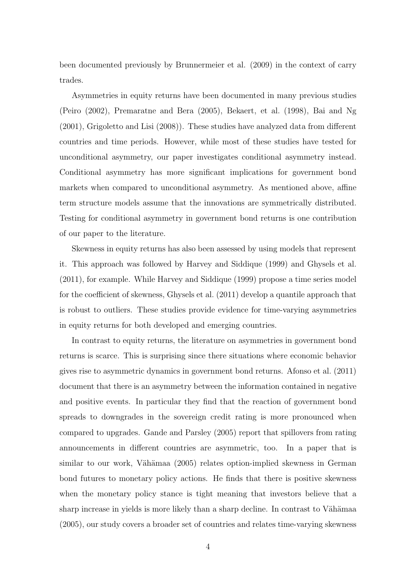been documented previously by Brunnermeier et al. (2009) in the context of carry trades.

Asymmetries in equity returns have been documented in many previous studies (Peiro (2002), Premaratne and Bera (2005), Bekaert, et al. (1998), Bai and Ng (2001), Grigoletto and Lisi (2008)). These studies have analyzed data from different countries and time periods. However, while most of these studies have tested for unconditional asymmetry, our paper investigates conditional asymmetry instead. Conditional asymmetry has more significant implications for government bond markets when compared to unconditional asymmetry. As mentioned above, affine term structure models assume that the innovations are symmetrically distributed. Testing for conditional asymmetry in government bond returns is one contribution of our paper to the literature.

Skewness in equity returns has also been assessed by using models that represent it. This approach was followed by Harvey and Siddique (1999) and Ghysels et al. (2011), for example. While Harvey and Siddique (1999) propose a time series model for the coefficient of skewness, Ghysels et al. (2011) develop a quantile approach that is robust to outliers. These studies provide evidence for time-varying asymmetries in equity returns for both developed and emerging countries.

In contrast to equity returns, the literature on asymmetries in government bond returns is scarce. This is surprising since there situations where economic behavior gives rise to asymmetric dynamics in government bond returns. Afonso et al. (2011) document that there is an asymmetry between the information contained in negative and positive events. In particular they find that the reaction of government bond spreads to downgrades in the sovereign credit rating is more pronounced when compared to upgrades. Gande and Parsley (2005) report that spillovers from rating announcements in different countries are asymmetric, too. In a paper that is similar to our work, Vähämaa (2005) relates option-implied skewness in German bond futures to monetary policy actions. He finds that there is positive skewness when the monetary policy stance is tight meaning that investors believe that a sharp increase in yields is more likely than a sharp decline. In contrast to Vähämaa (2005), our study covers a broader set of countries and relates time-varying skewness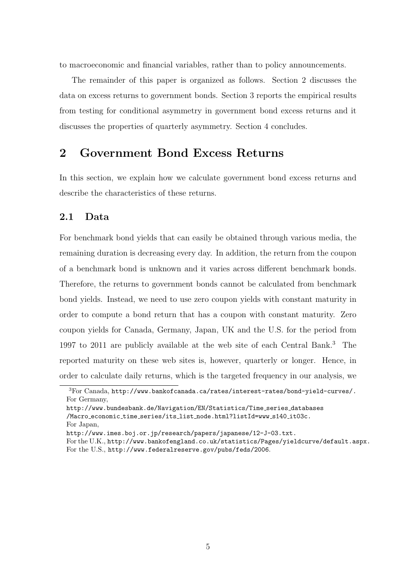to macroeconomic and financial variables, rather than to policy announcements.

The remainder of this paper is organized as follows. Section 2 discusses the data on excess returns to government bonds. Section 3 reports the empirical results from testing for conditional asymmetry in government bond excess returns and it discusses the properties of quarterly asymmetry. Section 4 concludes.

### 2 Government Bond Excess Returns

In this section, we explain how we calculate government bond excess returns and describe the characteristics of these returns.

#### 2.1 Data

For benchmark bond yields that can easily be obtained through various media, the remaining duration is decreasing every day. In addition, the return from the coupon of a benchmark bond is unknown and it varies across different benchmark bonds. Therefore, the returns to government bonds cannot be calculated from benchmark bond yields. Instead, we need to use zero coupon yields with constant maturity in order to compute a bond return that has a coupon with constant maturity. Zero coupon yields for Canada, Germany, Japan, UK and the U.S. for the period from 1997 to 2011 are publicly available at the web site of each Central Bank.<sup>3</sup> The reported maturity on these web sites is, however, quarterly or longer. Hence, in order to calculate daily returns, which is the targeted frequency in our analysis, we

<sup>3</sup>For Canada, http://www.bankofcanada.ca/rates/interest-rates/bond-yield-curves/. For Germany,

http://www.bundesbank.de/Navigation/EN/Statistics/Time series databases /Macro economic time series/its list node.html?listId=www s140 it03c.

For Japan,

http://www.imes.boj.or.jp/research/papers/japanese/12-J-03.txt.

For the U.K., http://www.bankofengland.co.uk/statistics/Pages/yieldcurve/default.aspx. For the U.S., http://www.federalreserve.gov/pubs/feds/2006.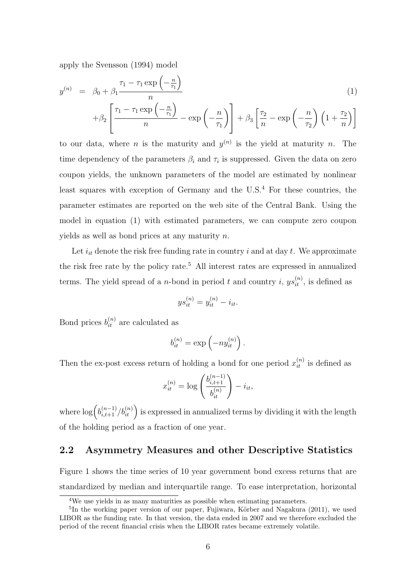apply the Svensson (1994) model

$$
y^{(n)} = \beta_0 + \beta_1 \frac{\tau_1 - \tau_1 \exp\left(-\frac{n}{\tau_1}\right)}{n} + \beta_2 \left[\frac{\tau_1 - \tau_1 \exp\left(-\frac{n}{\tau_1}\right)}{n} - \exp\left(-\frac{n}{\tau_1}\right)\right] + \beta_3 \left[\frac{\tau_2}{n} - \exp\left(-\frac{n}{\tau_2}\right)\left(1 + \frac{\tau_2}{n}\right)\right]
$$
\n(1)

to our data, where *n* is the maturity and  $y^{(n)}$  is the yield at maturity *n*. The time dependency of the parameters  $\beta_i$  and  $\tau_i$  is suppressed. Given the data on zero coupon yields, the unknown parameters of the model are estimated by nonlinear least squares with exception of Germany and the  $U.S.<sup>4</sup>$  For these countries, the parameter estimates are reported on the web site of the Central Bank. Using the model in equation (1) with estimated parameters, we can compute zero coupon yields as well as bond prices at any maturity  $n$ .

Let  $i_{it}$  denote the risk free funding rate in country i and at day t. We approximate the risk free rate by the policy rate.<sup>5</sup> All interest rates are expressed in annualized terms. The yield spread of a *n*-bond in period t and country i,  $ys_{it}^{(n)}$ , is defined as

$$
ys_{it}^{(n)} = y_{it}^{(n)} - i_{it}.
$$

Bond prices  $b_{it}^{(n)}$  are calculated as

$$
b_{it}^{(n)} = \exp\left(-ny_{it}^{(n)}\right).
$$

Then the ex-post excess return of holding a bond for one period  $x_{it}^{(n)}$  is defined as

$$
x_{it}^{(n)} = \log \left( \frac{b_{i,t+1}^{(n-1)}}{b_{it}^{(n)}} \right) - i_{it},
$$

where  $\log \left( b_{i,t+1}^{(n-1)}/b_{it}^{(n)} \right)$  is expressed in annualized terms by dividing it with the length of the holding period as a fraction of one year.

#### 2.2 Asymmetry Measures and other Descriptive Statistics

Figure 1 shows the time series of 10 year government bond excess returns that are standardized by median and interquartile range. To ease interpretation, horizontal

<sup>4</sup>We use yields in as many maturities as possible when estimating parameters.

<sup>&</sup>lt;sup>5</sup>In the working paper version of our paper, Fujiwara, Körber and Nagakura (2011), we used LIBOR as the funding rate. In that version, the data ended in 2007 and we therefore excluded the period of the recent financial crisis when the LIBOR rates became extremely volatile.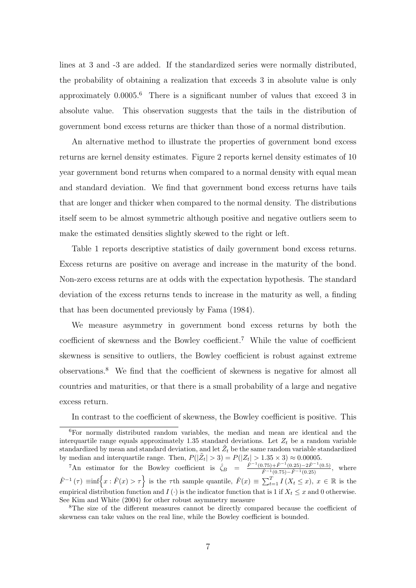lines at 3 and -3 are added. If the standardized series were normally distributed, the probability of obtaining a realization that exceeds 3 in absolute value is only approximately  $0.0005<sup>6</sup>$  There is a significant number of values that exceed 3 in absolute value. This observation suggests that the tails in the distribution of government bond excess returns are thicker than those of a normal distribution.

An alternative method to illustrate the properties of government bond excess returns are kernel density estimates. Figure 2 reports kernel density estimates of 10 year government bond returns when compared to a normal density with equal mean and standard deviation. We find that government bond excess returns have tails that are longer and thicker when compared to the normal density. The distributions itself seem to be almost symmetric although positive and negative outliers seem to make the estimated densities slightly skewed to the right or left.

Table 1 reports descriptive statistics of daily government bond excess returns. Excess returns are positive on average and increase in the maturity of the bond. Non-zero excess returns are at odds with the expectation hypothesis. The standard deviation of the excess returns tends to increase in the maturity as well, a finding that has been documented previously by Fama (1984).

We measure asymmetry in government bond excess returns by both the coefficient of skewness and the Bowley coefficient.<sup>7</sup> While the value of coefficient skewness is sensitive to outliers, the Bowley coefficient is robust against extreme observations.<sup>8</sup> We find that the coefficient of skewness is negative for almost all countries and maturities, or that there is a small probability of a large and negative excess return.

In contrast to the coefficient of skewness, the Bowley coefficient is positive. This

<sup>6</sup>For normally distributed random variables, the median and mean are identical and the interquartile range equals approximately 1.35 standard deviations. Let  $Z_t$  be a random variable standardized by mean and standard deviation, and let  $\tilde{Z}_t$  be the same random variable standardized by median and interquartile range. Then,  $P(|\tilde{Z}_t| > 3) = P(|Z_t| > 1.35 \times 3) \approx 0.00005$ .

<sup>&</sup>lt;sup>7</sup>An estimator for the Bowley coefficient is  $\hat{\zeta}_B = \frac{\hat{F}^{-1}(0.75) + \hat{F}^{-1}(0.25) - 2\hat{F}^{-1}(0.5)}{\hat{F}^{-1}(0.75) - \hat{F}^{-1}(0.25)}$ , where  $\hat{F}^{-1}(\tau) \equiv \inf \Bigl\{ x : \hat{F}(x) > \tau \Bigr\}$  is the  $\tau$ th sample quantile,  $\hat{F}(x) \equiv \sum_{t=1}^{T} I(X_t \leq x)$ ,  $x \in \mathbb{R}$  is the empirical distribution function and  $I(\cdot)$  is the indicator function that is 1 if  $X_t \leq x$  and 0 otherwise. See Kim and White (2004) for other robust asymmetry measure

<sup>8</sup>The size of the different measures cannot be directly compared because the coefficient of skewness can take values on the real line, while the Bowley coefficient is bounded.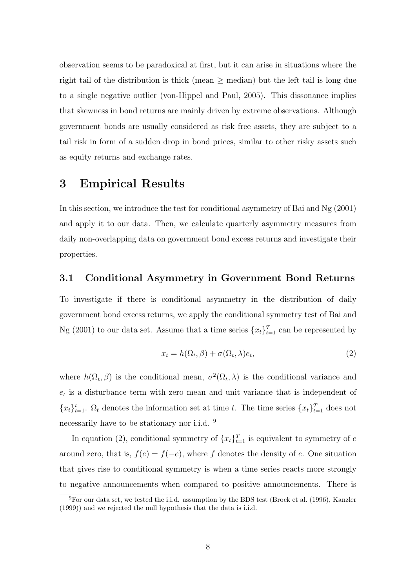observation seems to be paradoxical at first, but it can arise in situations where the right tail of the distribution is thick (mean  $\geq$  median) but the left tail is long due to a single negative outlier (von-Hippel and Paul, 2005). This dissonance implies that skewness in bond returns are mainly driven by extreme observations. Although government bonds are usually considered as risk free assets, they are subject to a tail risk in form of a sudden drop in bond prices, similar to other risky assets such as equity returns and exchange rates.

## 3 Empirical Results

In this section, we introduce the test for conditional asymmetry of Bai and Ng (2001) and apply it to our data. Then, we calculate quarterly asymmetry measures from daily non-overlapping data on government bond excess returns and investigate their properties.

#### 3.1 Conditional Asymmetry in Government Bond Returns

To investigate if there is conditional asymmetry in the distribution of daily government bond excess returns, we apply the conditional symmetry test of Bai and Ng (2001) to our data set. Assume that a time series  $\{x_t\}_{t=1}^T$  can be represented by

$$
x_t = h(\Omega_t, \beta) + \sigma(\Omega_t, \lambda)e_t,
$$
\n(2)

where  $h(\Omega_t, \beta)$  is the conditional mean,  $\sigma^2(\Omega_t, \lambda)$  is the conditional variance and  $e_t$  is a disturbance term with zero mean and unit variance that is independent of  ${x_t}_{t=1}^t$ .  $\Omega_t$  denotes the information set at time t. The time series  ${x_t}_{t=1}^T$  does not necessarily have to be stationary nor i.i.d. <sup>9</sup>

In equation (2), conditional symmetry of  $\{x_t\}_{t=1}^T$  is equivalent to symmetry of e around zero, that is,  $f(e) = f(-e)$ , where f denotes the density of e. One situation that gives rise to conditional symmetry is when a time series reacts more strongly to negative announcements when compared to positive announcements. There is

 ${}^{9}$ For our data set, we tested the i.i.d. assumption by the BDS test (Brock et al. (1996), Kanzler (1999)) and we rejected the null hypothesis that the data is i.i.d.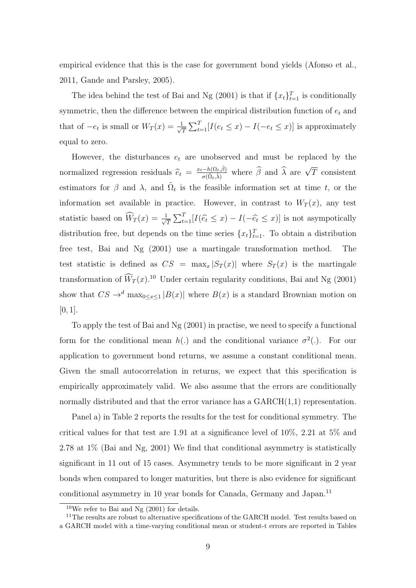empirical evidence that this is the case for government bond yields (Afonso et al., 2011, Gande and Parsley, 2005).

The idea behind the test of Bai and Ng (2001) is that if  $\{x_t\}_{t=1}^T$  is conditionally symmetric, then the difference between the empirical distribution function of  $e_t$  and that of  $-e_t$  is small or  $W_T(x) = \frac{1}{\sqrt{x}}$  $\frac{1}{T} \sum_{t=1}^{T} [I(e_t \leq x) - I(-e_t \leq x)]$  is approximately equal to zero.

However, the disturbances  $e_t$  are unobserved and must be replaced by the normalized regression residuals  $\hat{e}_t = \frac{x_t - h(\Omega_t, \hat{\beta})}{\sigma(\tilde{\Omega}_t, \hat{\lambda})}$  $\frac{-h(\Omega_t, \hat{\beta})}{\sigma(\tilde{\Omega}_t, \hat{\lambda})}$  where  $\hat{\beta}$  and  $\hat{\lambda}$  are  $\sqrt{T}$  consistent estimators for  $\beta$  and  $\lambda$ , and  $\tilde{\Omega}_t$  is the feasible information set at time t, or the information set available in practice. However, in contrast to  $W_T(x)$ , any test statistic based on  $\widehat{W}_T(x) = \frac{1}{\sqrt{x}}$  $\frac{1}{T} \sum_{t=1}^{T} [I(\hat{e}_t \leq x) - I(-\hat{e}_t \leq x)]$  is not asympotically distribution free, but depends on the time series  $\{x_t\}_{t=1}^T$ . To obtain a distribution free test, Bai and Ng (2001) use a martingale transformation method. The test statistic is defined as  $CS = \max_x |S_T(x)|$  where  $S_T(x)$  is the martingale transformation of  $\widehat{W}_T(x)$ <sup>10</sup> Under certain regularity conditions, Bai and Ng (2001) show that  $CS \to^d$  max<sub>0≤x≤1</sub>  $|B(x)|$  where  $B(x)$  is a standard Brownian motion on [0, 1].

To apply the test of Bai and Ng (2001) in practise, we need to specify a functional form for the conditional mean  $h(.)$  and the conditional variance  $\sigma^2(.)$ . For our application to government bond returns, we assume a constant conditional mean. Given the small autocorrelation in returns, we expect that this specification is empirically approximately valid. We also assume that the errors are conditionally normally distributed and that the error variance has a  $GARCH(1,1)$  representation.

Panel a) in Table 2 reports the results for the test for conditional symmetry. The critical values for that test are 1.91 at a significance level of 10%, 2.21 at 5% and 2.78 at 1% (Bai and Ng, 2001) We find that conditional asymmetry is statistically significant in 11 out of 15 cases. Asymmetry tends to be more significant in 2 year bonds when compared to longer maturities, but there is also evidence for significant conditional asymmetry in 10 year bonds for Canada, Germany and Japan.<sup>11</sup>

 $10$ We refer to Bai and Ng  $(2001)$  for details.

<sup>&</sup>lt;sup>11</sup>The results are robust to alternative specifications of the GARCH model. Test results based on a GARCH model with a time-varying conditional mean or student-t errors are reported in Tables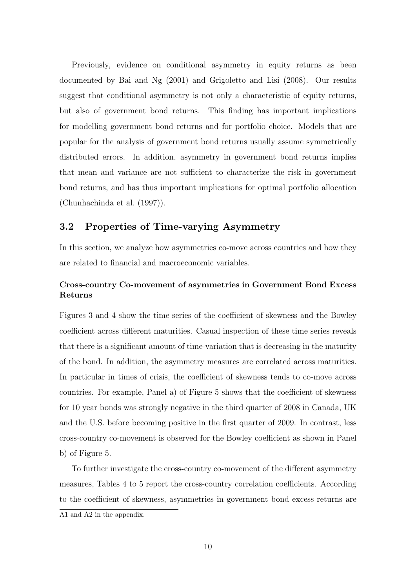Previously, evidence on conditional asymmetry in equity returns as been documented by Bai and Ng (2001) and Grigoletto and Lisi (2008). Our results suggest that conditional asymmetry is not only a characteristic of equity returns, but also of government bond returns. This finding has important implications for modelling government bond returns and for portfolio choice. Models that are popular for the analysis of government bond returns usually assume symmetrically distributed errors. In addition, asymmetry in government bond returns implies that mean and variance are not sufficient to characterize the risk in government bond returns, and has thus important implications for optimal portfolio allocation (Chunhachinda et al. (1997)).

#### 3.2 Properties of Time-varying Asymmetry

In this section, we analyze how asymmetries co-move across countries and how they are related to financial and macroeconomic variables.

#### Cross-country Co-movement of asymmetries in Government Bond Excess Returns

Figures 3 and 4 show the time series of the coefficient of skewness and the Bowley coefficient across different maturities. Casual inspection of these time series reveals that there is a significant amount of time-variation that is decreasing in the maturity of the bond. In addition, the asymmetry measures are correlated across maturities. In particular in times of crisis, the coefficient of skewness tends to co-move across countries. For example, Panel a) of Figure 5 shows that the coefficient of skewness for 10 year bonds was strongly negative in the third quarter of 2008 in Canada, UK and the U.S. before becoming positive in the first quarter of 2009. In contrast, less cross-country co-movement is observed for the Bowley coefficient as shown in Panel b) of Figure 5.

To further investigate the cross-country co-movement of the different asymmetry measures, Tables 4 to 5 report the cross-country correlation coefficients. According to the coefficient of skewness, asymmetries in government bond excess returns are A1 and A2 in the appendix.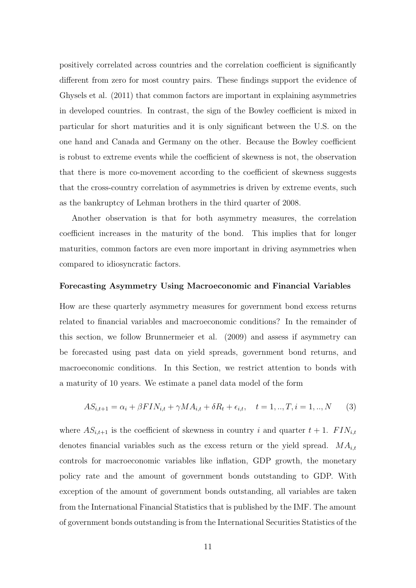positively correlated across countries and the correlation coefficient is significantly different from zero for most country pairs. These findings support the evidence of Ghysels et al. (2011) that common factors are important in explaining asymmetries in developed countries. In contrast, the sign of the Bowley coefficient is mixed in particular for short maturities and it is only significant between the U.S. on the one hand and Canada and Germany on the other. Because the Bowley coefficient is robust to extreme events while the coefficient of skewness is not, the observation that there is more co-movement according to the coefficient of skewness suggests that the cross-country correlation of asymmetries is driven by extreme events, such as the bankruptcy of Lehman brothers in the third quarter of 2008.

Another observation is that for both asymmetry measures, the correlation coefficient increases in the maturity of the bond. This implies that for longer maturities, common factors are even more important in driving asymmetries when compared to idiosyncratic factors.

#### Forecasting Asymmetry Using Macroeconomic and Financial Variables

How are these quarterly asymmetry measures for government bond excess returns related to financial variables and macroeconomic conditions? In the remainder of this section, we follow Brunnermeier et al. (2009) and assess if asymmetry can be forecasted using past data on yield spreads, government bond returns, and macroeconomic conditions. In this Section, we restrict attention to bonds with a maturity of 10 years. We estimate a panel data model of the form

$$
AS_{i,t+1} = \alpha_i + \beta FIN_{i,t} + \gamma MA_{i,t} + \delta R_t + \epsilon_{i,t}, \quad t = 1,..,T, i = 1,..,N
$$
 (3)

where  $AS_{i,t+1}$  is the coefficient of skewness in country i and quarter  $t + 1$ .  $FIN_{i,t}$ denotes financial variables such as the excess return or the yield spread.  $MA_{it}$ controls for macroeconomic variables like inflation, GDP growth, the monetary policy rate and the amount of government bonds outstanding to GDP. With exception of the amount of government bonds outstanding, all variables are taken from the International Financial Statistics that is published by the IMF. The amount of government bonds outstanding is from the International Securities Statistics of the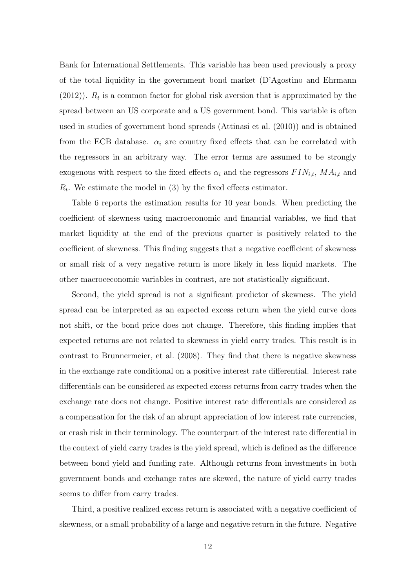Bank for International Settlements. This variable has been used previously a proxy of the total liquidity in the government bond market (D'Agostino and Ehrmann  $(2012)$ ).  $R_t$  is a common factor for global risk aversion that is approximated by the spread between an US corporate and a US government bond. This variable is often used in studies of government bond spreads (Attinasi et al. (2010)) and is obtained from the ECB database.  $\alpha_i$  are country fixed effects that can be correlated with the regressors in an arbitrary way. The error terms are assumed to be strongly exogenous with respect to the fixed effects  $\alpha_i$  and the regressors  $FIN_{i,t}$ ,  $MA_{i,t}$  and  $R_t$ . We estimate the model in (3) by the fixed effects estimator.

Table 6 reports the estimation results for 10 year bonds. When predicting the coefficient of skewness using macroeconomic and financial variables, we find that market liquidity at the end of the previous quarter is positively related to the coefficient of skewness. This finding suggests that a negative coefficient of skewness or small risk of a very negative return is more likely in less liquid markets. The other macroceconomic variables in contrast, are not statistically significant.

Second, the yield spread is not a significant predictor of skewness. The yield spread can be interpreted as an expected excess return when the yield curve does not shift, or the bond price does not change. Therefore, this finding implies that expected returns are not related to skewness in yield carry trades. This result is in contrast to Brunnermeier, et al. (2008). They find that there is negative skewness in the exchange rate conditional on a positive interest rate differential. Interest rate differentials can be considered as expected excess returns from carry trades when the exchange rate does not change. Positive interest rate differentials are considered as a compensation for the risk of an abrupt appreciation of low interest rate currencies, or crash risk in their terminology. The counterpart of the interest rate differential in the context of yield carry trades is the yield spread, which is defined as the difference between bond yield and funding rate. Although returns from investments in both government bonds and exchange rates are skewed, the nature of yield carry trades seems to differ from carry trades.

Third, a positive realized excess return is associated with a negative coefficient of skewness, or a small probability of a large and negative return in the future. Negative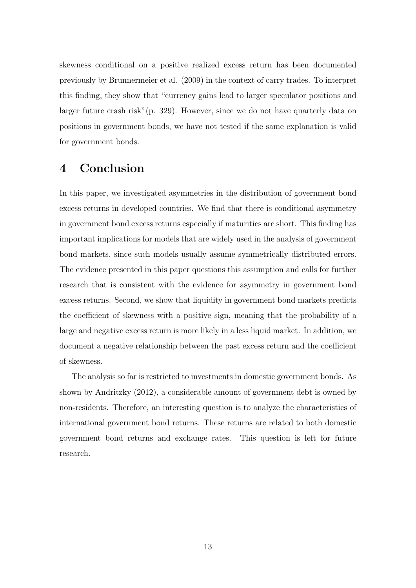skewness conditional on a positive realized excess return has been documented previously by Brunnermeier et al. (2009) in the context of carry trades. To interpret this finding, they show that "currency gains lead to larger speculator positions and larger future crash risk"(p. 329). However, since we do not have quarterly data on positions in government bonds, we have not tested if the same explanation is valid for government bonds.

## 4 Conclusion

In this paper, we investigated asymmetries in the distribution of government bond excess returns in developed countries. We find that there is conditional asymmetry in government bond excess returns especially if maturities are short. This finding has important implications for models that are widely used in the analysis of government bond markets, since such models usually assume symmetrically distributed errors. The evidence presented in this paper questions this assumption and calls for further research that is consistent with the evidence for asymmetry in government bond excess returns. Second, we show that liquidity in government bond markets predicts the coefficient of skewness with a positive sign, meaning that the probability of a large and negative excess return is more likely in a less liquid market. In addition, we document a negative relationship between the past excess return and the coefficient of skewness.

The analysis so far is restricted to investments in domestic government bonds. As shown by Andritzky (2012), a considerable amount of government debt is owned by non-residents. Therefore, an interesting question is to analyze the characteristics of international government bond returns. These returns are related to both domestic government bond returns and exchange rates. This question is left for future research.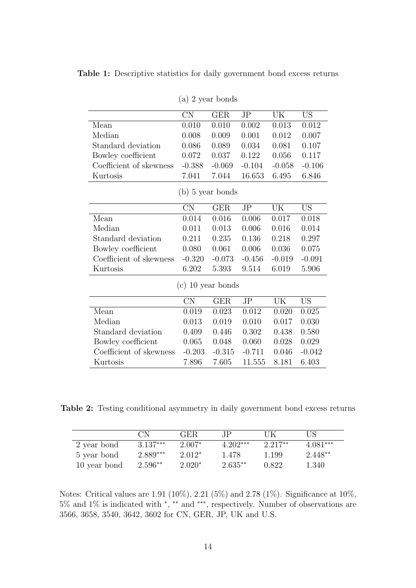Table 1: Descriptive statistics for daily government bond excess returns

|                         | <b>CN</b>           | <b>GER</b>         | JP       | UK       | <b>US</b> |
|-------------------------|---------------------|--------------------|----------|----------|-----------|
| Mean                    | 0.010               | 0.010              | 0.002    | 0.013    | 0.012     |
| Median                  | 0.008               | 0.009              | 0.001    | 0.012    | 0.007     |
| Standard deviation      | 0.086               | 0.089              | 0.034    | 0.081    | 0.107     |
| Bowley coefficient      | 0.072               | 0.037              | 0.122    | 0.056    | 0.117     |
| Coefficient of skewness | $-0.388$            | $-0.069$           | $-0.104$ | $-0.058$ | $-0.106$  |
| Kurtosis                | 7.041               | 7.044              | 16.653   | 6.495    | 6.846     |
|                         |                     | $(b)$ 5 year bonds |          |          |           |
|                         |                     |                    |          |          |           |
|                         | <b>CN</b>           | <b>GER</b>         | JP       | UK       | <b>US</b> |
| Mean                    | 0.014               | 0.016              | 0.006    | 0.017    | 0.018     |
| Median                  | 0.011               | 0.013              | 0.006    | 0.016    | 0.014     |
| Standard deviation      | 0.211               | 0.235              | 0.136    | 0.218    | 0.297     |
| Bowley coefficient      | 0.080               | 0.061              | 0.006    | 0.036    | 0.075     |
| Coefficient of skewness | $-0.320$            | $-0.073$           | $-0.456$ | $-0.019$ | $-0.091$  |
| Kurtosis                | 6.202               | 5.393              | 9.514    | 6.019    | 5.906     |
|                         | $(c)$ 10 year bonds |                    |          |          |           |
|                         | CN                  | <b>GER</b>         | JP       | UK       | <b>US</b> |
| Mean                    | 0.019               | 0.023              | 0.012    | 0.020    | 0.025     |
| Median                  | 0.013               | 0.019              | 0.010    | 0.017    | 0.030     |
| Standard deviation      | 0.409               | 0.446              | 0.302    | 0.438    | 0.580     |
| Bowley coefficient      | 0.065               | 0.048              | 0.060    | 0.028    | 0.029     |
| Coefficient of skewness | $-0.203$            | $-0.315$           | $-0.711$ | 0.046    | $-0.042$  |
| Kurtosis                | 7.896               | 7.605              | 11.555   | 8.181    | 6.403     |

(a) 2 year bonds

Table 2: Testing conditional asymmetry in daily government bond excess returns

|              | CN         | <b>GER</b> | ΙP         | UK        | US         |
|--------------|------------|------------|------------|-----------|------------|
| 2 year bond  | $3.137***$ | $2.007*$   | $4.202***$ | $2.217**$ | $4.081***$ |
| 5 year bond  | 2.889***   | $2.012*$   | 1.478      | 1.199     | $2.448**$  |
| 10 year bond | $2.596**$  | $2.020*$   | $2.635**$  | 0.822     | 1.340      |

Notes: Critical values are 1.91 (10%), 2.21 (5%) and 2.78 (1%). Significance at 10%, 5% and 1% is indicated with <sup>∗</sup> , ∗∗ and ∗∗∗, respectively. Number of observations are 3566, 3658, 3540, 3642, 3602 for CN, GER, JP, UK and U.S.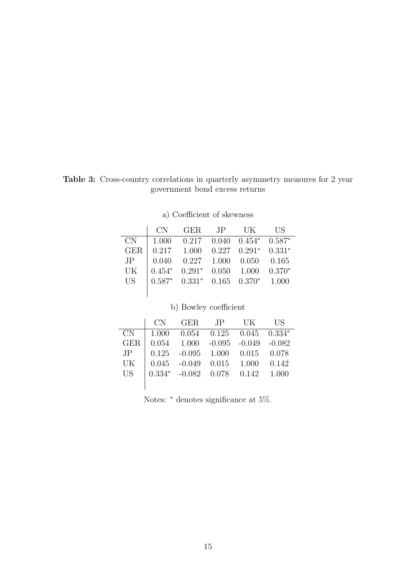Table 3: Cross-country correlations in quarterly asymmetry measures for 2 year government bond excess returns

|                 | CN       | <b>GER</b>    | JP    | - UK                                | <b>IIS</b> |
|-----------------|----------|---------------|-------|-------------------------------------|------------|
| CN.             | 1.000    | 0.217         |       | $0.040 \quad 0.454^* \quad 0.587^*$ |            |
| <b>GER</b>      |          | $0.217$ 1.000 |       | $0.227$ $0.291*$ $0.331*$           |            |
| JP              | 0.040    | 0.227         | 1.000 | 0.050                               | -0.165     |
| UK              | $0.454*$ | $0.291*$      | 0.050 | 1.000                               | $0.370*$   |
| US <sup>-</sup> | $0.587*$ | $0.331*$      |       | $0.165$ $0.370*$                    | 1.000      |
|                 |          |               |       |                                     |            |

a) Coefficient of skewness

| b) Bowley coefficient |          |            |          |          |          |  |  |
|-----------------------|----------|------------|----------|----------|----------|--|--|
|                       | CN       | <b>GER</b> | .JP      | UK       | US       |  |  |
| CN                    | 1.000    | 0.054      | 0.125    | 0.045    | $0.334*$ |  |  |
| <b>GER</b>            | 0.054    | 1.000      | $-0.095$ | $-0.049$ | $-0.082$ |  |  |
| JP.                   | 0.125    | $-0.095$   | 1.000    | 0.015    | 0.078    |  |  |
| UK                    | 0.045    | $-0.049$   | 0.015    | 1.000    | 0.142    |  |  |
| <b>US</b>             | $0.334*$ | $-0.082$   | 0.078    | 0.142    | 1.000    |  |  |
|                       |          |            |          |          |          |  |  |

Notes: <sup>∗</sup> denotes significance at 5%.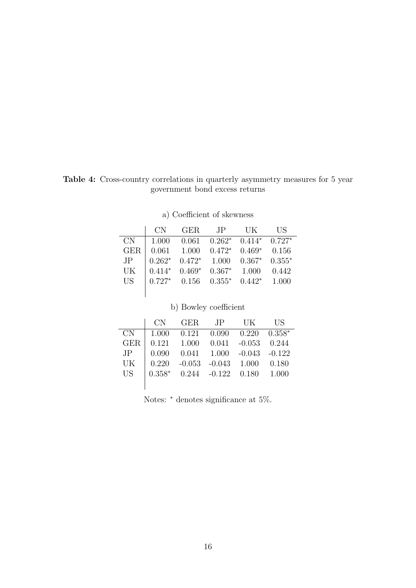Table 4: Cross-country correlations in quarterly asymmetry measures for 5 year government bond excess returns

|            | CN.      | GER.                        | $\overline{J}P$  | – UK                          | <b>IIS</b> |
|------------|----------|-----------------------------|------------------|-------------------------------|------------|
| CN         | 1.000    | 0.061                       |                  | $0.262^*$ $0.414^*$ $0.727^*$ |            |
| <b>GER</b> | 0.061    | 1.000                       | $0.472*$         | $0.469*$                      | 0.156      |
| JP         | $0.262*$ | $0.472*$ 1.000              |                  | $0.367*$                      | $0.355*$   |
| UK         | $0.414*$ | $0.469^*$ $0.367^*$ $1.000$ |                  |                               | 0.442      |
| <b>US</b>  | $0.727*$ |                             | $0.156$ $0.355*$ | $0.442*$                      | 1.000      |
|            |          |                             |                  |                               |            |

| a) Coefficient of skewness |  |
|----------------------------|--|
|                            |  |

| b) Bowley coefficient |          |          |          |          |          |  |  |
|-----------------------|----------|----------|----------|----------|----------|--|--|
|                       | CN       | GER      | .IP      | UK       | US       |  |  |
| CN                    | 1.000    | 0.121    | 0.090    | 0.220    | $0.358*$ |  |  |
| <b>GER</b>            | 0.121    | 1.000    | 0.041    | $-0.053$ | 0.244    |  |  |
| JP.                   | 0.090    | 0.041    | 1.000    | $-0.043$ | $-0.122$ |  |  |
| UK                    | 0.220    | $-0.053$ | $-0.043$ | 1.000    | 0.180    |  |  |
| US <sup>-</sup>       | $0.358*$ | 0.244    | $-0.122$ | 0.180    | 1.000    |  |  |
|                       |          |          |          |          |          |  |  |

Notes: <sup>∗</sup> denotes significance at 5%.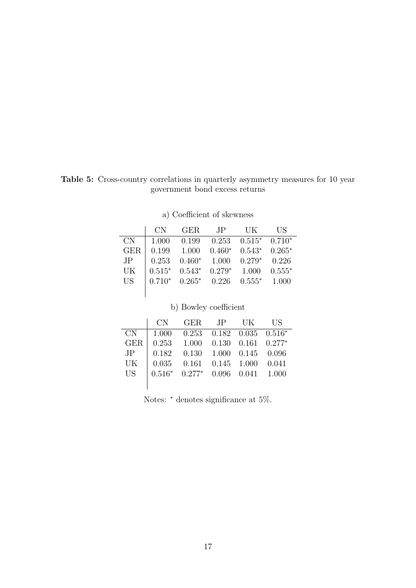Table 5: Cross-country correlations in quarterly asymmetry measures for 10 year government bond excess returns

|            | CN       | GER.     | $\overline{J}P$ | UK.      | <b>IIS</b> |
|------------|----------|----------|-----------------|----------|------------|
| CN         | 1.000    | 0.199    | 0.253           | $0.515*$ | $0.710*$   |
| <b>GER</b> | 0.199    | 1.000    | $0.460*$        | $0.543*$ | $0.265*$   |
| JP         | 0.253    | $0.460*$ | 1.000           | $0.279*$ | 0.226      |
| UK         | $0.515*$ | $0.543*$ | $0.279*$        | 1.000    | $0.555*$   |
| <b>US</b>  | $0.710*$ | $0.265*$ | 0.226           | $0.555*$ | 1.000      |
|            |          |          |                 |          |            |

| a) Coefficient of skewness |  |
|----------------------------|--|

|            | b) Bowley coefficient |          |       |       |          |  |  |  |
|------------|-----------------------|----------|-------|-------|----------|--|--|--|
|            | CN                    | GER.     | .JP   | UК    | US       |  |  |  |
| CN         | 1.000                 | 0.253    | 0.182 | 0.035 | $0.516*$ |  |  |  |
| <b>GER</b> | 0.253                 | 1.000    | 0.130 | 0.161 | $0.277*$ |  |  |  |
| JP         | 0.182                 | 0.130    | 1.000 | 0.145 | 0.096    |  |  |  |
| UK         | 0.035                 | 0.161    | 0.145 | 1.000 | 0.041    |  |  |  |
| <b>US</b>  | $0.516*$              | $0.277*$ | 0.096 | 0.041 | 1.000    |  |  |  |
|            |                       |          |       |       |          |  |  |  |

Notes: <sup>∗</sup> denotes significance at 5%.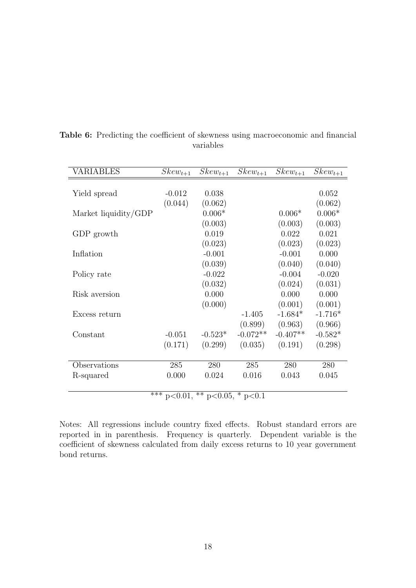| VARIABLES            | $Skew_{t+1}$             | $Skew_{t+1}$            | $Skew_{t+1}$ | $Skew_{t+1}$ | $Skew_{t+1}$ |
|----------------------|--------------------------|-------------------------|--------------|--------------|--------------|
|                      |                          |                         |              |              |              |
| Yield spread         | $-0.012$                 | 0.038                   |              |              | 0.052        |
|                      | (0.044)                  | (0.062)                 |              |              | (0.062)      |
| Market liquidity/GDP |                          | $0.006*$                |              | $0.006*$     | $0.006*$     |
|                      |                          | (0.003)                 |              | (0.003)      | (0.003)      |
| GDP growth           |                          | 0.019                   |              | 0.022        | 0.021        |
|                      |                          | (0.023)                 |              | (0.023)      | (0.023)      |
| Inflation            |                          | $-0.001$                |              | $-0.001$     | 0.000        |
|                      |                          | (0.039)                 |              | (0.040)      | (0.040)      |
| Policy rate          |                          | $-0.022$                |              | $-0.004$     | $-0.020$     |
|                      |                          | (0.032)                 |              | (0.024)      | (0.031)      |
| Risk aversion        |                          | 0.000                   |              | 0.000        | 0.000        |
|                      |                          | (0.000)                 |              | (0.001)      | (0.001)      |
| Excess return        |                          |                         | $-1.405$     | $-1.684*$    | $-1.716*$    |
|                      |                          |                         | (0.899)      | (0.963)      | (0.966)      |
| Constant             | $-0.051$                 | $-0.523*$               | $-0.072**$   | $-0.407**$   | $-0.582*$    |
|                      | (0.171)                  | (0.299)                 | (0.035)      | (0.191)      | (0.298)      |
|                      |                          |                         |              |              |              |
| Observations         | 285                      | 280                     | 285          | 280          | 280          |
| R-squared            | 0.000                    | 0.024                   | 0.016        | 0.043        | 0.045        |
|                      |                          |                         |              |              |              |
|                      | $\overline{**}$ p < 0.01 | ** $p<0.05$ , * $p<0.1$ |              |              |              |

Table 6: Predicting the coefficient of skewness using macroeconomic and financial variables

 $p<0.01$ , \*\*  $p<0.05$ , \*  $p<0$ 

Notes: All regressions include country fixed effects. Robust standard errors are reported in in parenthesis. Frequency is quarterly. Dependent variable is the coefficient of skewness calculated from daily excess returns to 10 year government bond returns.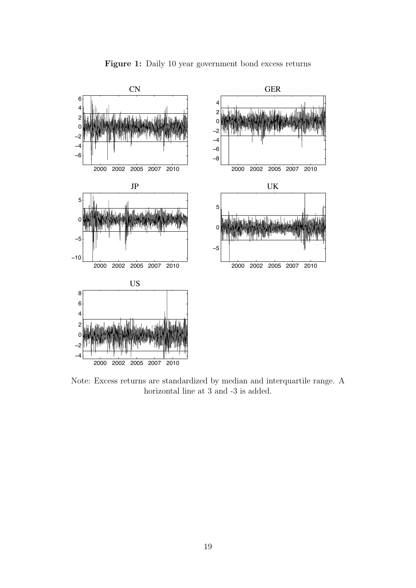

Figure 1: Daily 10 year government bond excess returns

Note: Excess returns are standardized by median and interquartile range. A horizontal line at 3 and -3 is added.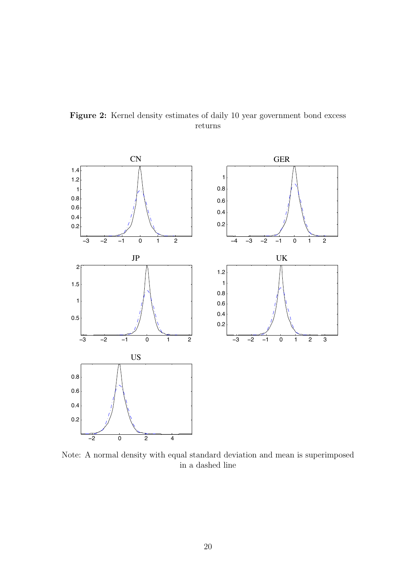

Figure 2: Kernel density estimates of daily 10 year government bond excess returns

Note: A normal density with equal standard deviation and mean is superimposed in a dashed line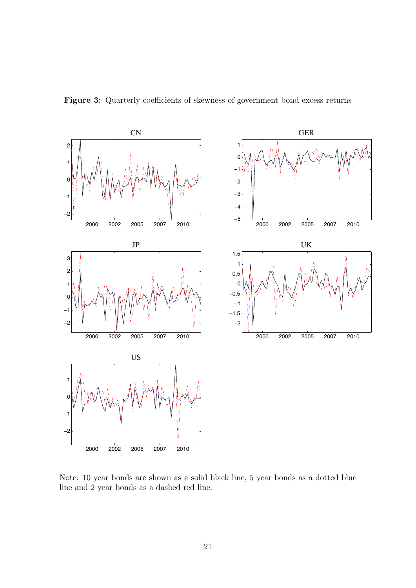

Figure 3: Quarterly coefficients of skewness of government bond excess returns

Note: 10 year bonds are shown as a solid black line, 5 year bonds as a dotted blue line and 2 year bonds as a dashed red line.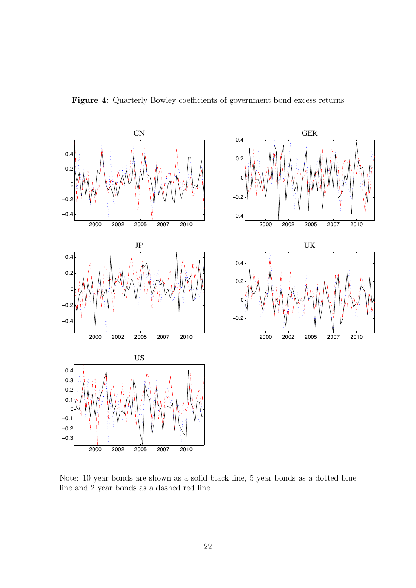



Note: 10 year bonds are shown as a solid black line, 5 year bonds as a dotted blue line and 2 year bonds as a dashed red line.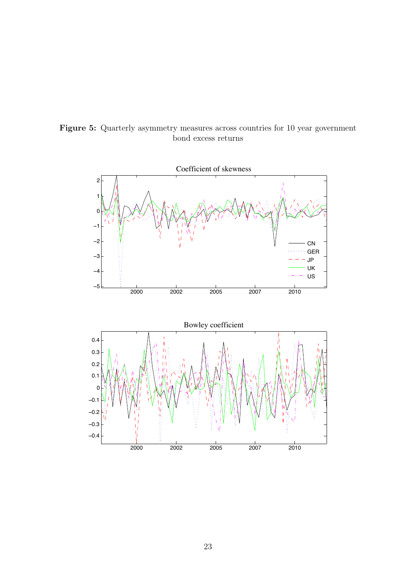

Figure 5: Quarterly asymmetry measures across countries for 10 year government bond excess returns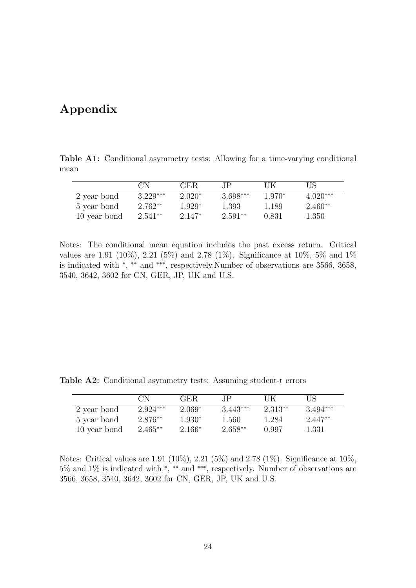## Appendix

Table A1: Conditional asymmetry tests: Allowing for a time-varying conditional mean

|              | CN.        | <b>GER</b> | TP.        | ПK       | US         |
|--------------|------------|------------|------------|----------|------------|
| 2 year bond  | $3.229***$ | $2.020*$   | $3.698***$ | $1.970*$ | $4.020***$ |
| 5 year bond  | $2.762**$  | $1.929*$   | 1.393      | 1.189    | $2.460**$  |
| 10 year bond | $2.541**$  | $2.147*$   | $2.591**$  | 0.831    | 1.350      |

Notes: The conditional mean equation includes the past excess return. Critical values are 1.91 (10%), 2.21 (5%) and 2.78 (1%). Significance at 10%, 5% and 1% is indicated with <sup>∗</sup> , ∗∗ and ∗∗∗, respectively.Number of observations are 3566, 3658, 3540, 3642, 3602 for CN, GER, JP, UK and U.S.

Table A2: Conditional asymmetry tests: Assuming student-t errors

|              | CN         | <b>GER</b> | ΙP         | UK      | US         |
|--------------|------------|------------|------------|---------|------------|
| 2 year bond  | $2.924***$ | $2.069*$   | $3.443***$ | 2.313** | $3.494***$ |
| 5 year bond  | $2.876**$  | 1.930*     | 1.560      | 1.284   | $2.447**$  |
| 10 year bond | $2.465**$  | $2.166*$   | $2.658**$  | 0.997   | 1.331      |

Notes: Critical values are 1.91 (10%), 2.21 (5%) and 2.78 (1%). Significance at 10%, 5% and 1% is indicated with <sup>∗</sup> , ∗∗ and ∗∗∗, respectively. Number of observations are 3566, 3658, 3540, 3642, 3602 for CN, GER, JP, UK and U.S.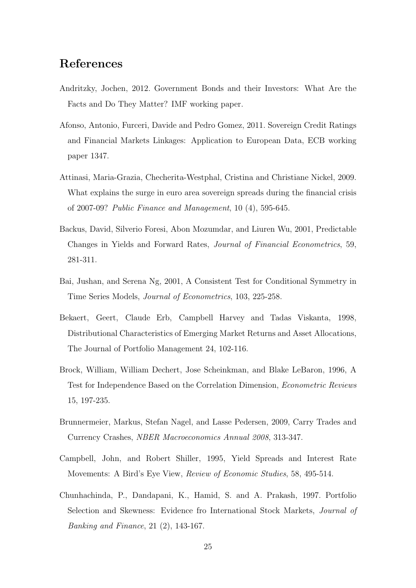## References

- Andritzky, Jochen, 2012. Government Bonds and their Investors: What Are the Facts and Do They Matter? IMF working paper.
- Afonso, Antonio, Furceri, Davide and Pedro Gomez, 2011. Sovereign Credit Ratings and Financial Markets Linkages: Application to European Data, ECB working paper 1347.
- Attinasi, Maria-Grazia, Checherita-Westphal, Cristina and Christiane Nickel, 2009. What explains the surge in euro area sovereign spreads during the financial crisis of 2007-09? Public Finance and Management, 10 (4), 595-645.
- Backus, David, Silverio Foresi, Abon Mozumdar, and Liuren Wu, 2001, Predictable Changes in Yields and Forward Rates, Journal of Financial Econometrics, 59, 281-311.
- Bai, Jushan, and Serena Ng, 2001, A Consistent Test for Conditional Symmetry in Time Series Models, Journal of Econometrics, 103, 225-258.
- Bekaert, Geert, Claude Erb, Campbell Harvey and Tadas Viskanta, 1998, Distributional Characteristics of Emerging Market Returns and Asset Allocations, The Journal of Portfolio Management 24, 102-116.
- Brock, William, William Dechert, Jose Scheinkman, and Blake LeBaron, 1996, A Test for Independence Based on the Correlation Dimension, Econometric Reviews 15, 197-235.
- Brunnermeier, Markus, Stefan Nagel, and Lasse Pedersen, 2009, Carry Trades and Currency Crashes, NBER Macroeconomics Annual 2008, 313-347.
- Campbell, John, and Robert Shiller, 1995, Yield Spreads and Interest Rate Movements: A Bird's Eye View, Review of Economic Studies, 58, 495-514.
- Chunhachinda, P., Dandapani, K., Hamid, S. and A. Prakash, 1997. Portfolio Selection and Skewness: Evidence fro International Stock Markets, Journal of Banking and Finance, 21 (2), 143-167.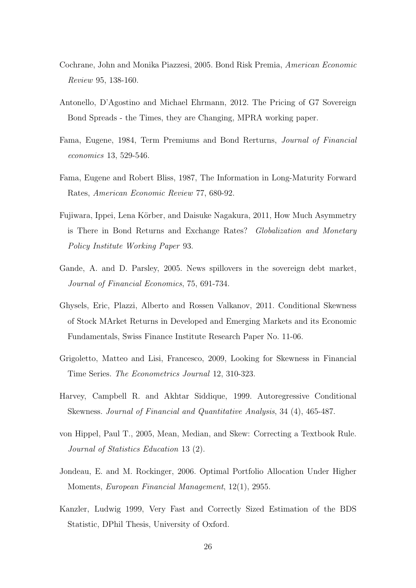- Cochrane, John and Monika Piazzesi, 2005. Bond Risk Premia, American Economic Review 95, 138-160.
- Antonello, D'Agostino and Michael Ehrmann, 2012. The Pricing of G7 Sovereign Bond Spreads - the Times, they are Changing, MPRA working paper.
- Fama, Eugene, 1984, Term Premiums and Bond Rerturns, Journal of Financial economics 13, 529-546.
- Fama, Eugene and Robert Bliss, 1987, The Information in Long-Maturity Forward Rates, American Economic Review 77, 680-92.
- Fujiwara, Ippei, Lena Körber, and Daisuke Nagakura, 2011, How Much Asymmetry is There in Bond Returns and Exchange Rates? Globalization and Monetary Policy Institute Working Paper 93.
- Gande, A. and D. Parsley, 2005. News spillovers in the sovereign debt market, Journal of Financial Economics, 75, 691-734.
- Ghysels, Eric, Plazzi, Alberto and Rossen Valkanov, 2011. Conditional Skewness of Stock MArket Returns in Developed and Emerging Markets and its Economic Fundamentals, Swiss Finance Institute Research Paper No. 11-06.
- Grigoletto, Matteo and Lisi, Francesco, 2009, Looking for Skewness in Financial Time Series. The Econometrics Journal 12, 310-323.
- Harvey, Campbell R. and Akhtar Siddique, 1999. Autoregressive Conditional Skewness. Journal of Financial and Quantitative Analysis, 34 (4), 465-487.
- von Hippel, Paul T., 2005, Mean, Median, and Skew: Correcting a Textbook Rule. Journal of Statistics Education 13 (2).
- Jondeau, E. and M. Rockinger, 2006. Optimal Portfolio Allocation Under Higher Moments, European Financial Management, 12(1), 2955.
- Kanzler, Ludwig 1999, Very Fast and Correctly Sized Estimation of the BDS Statistic, DPhil Thesis, University of Oxford.